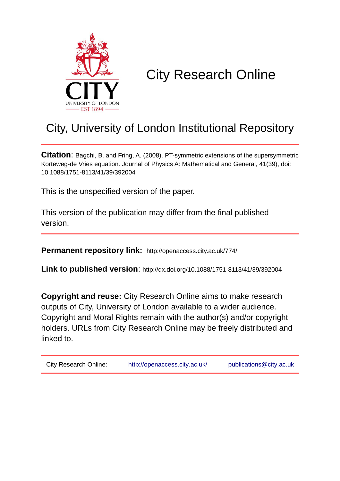

# City Research Online

## City, University of London Institutional Repository

**Citation**: Bagchi, B. and Fring, A. (2008). PT-symmetric extensions of the supersymmetric Korteweg-de Vries equation. Journal of Physics A: Mathematical and General, 41(39), doi: 10.1088/1751-8113/41/39/392004

This is the unspecified version of the paper.

This version of the publication may differ from the final published version.

**Permanent repository link:** http://openaccess.city.ac.uk/774/

**Link to published version**: http://dx.doi.org/10.1088/1751-8113/41/39/392004

**Copyright and reuse:** City Research Online aims to make research outputs of City, University of London available to a wider audience. Copyright and Moral Rights remain with the author(s) and/or copyright holders. URLs from City Research Online may be freely distributed and linked to.

City Research Online: <http://openaccess.city.ac.uk/>[publications@city.ac.uk](mailto:publications@city.ac.uk)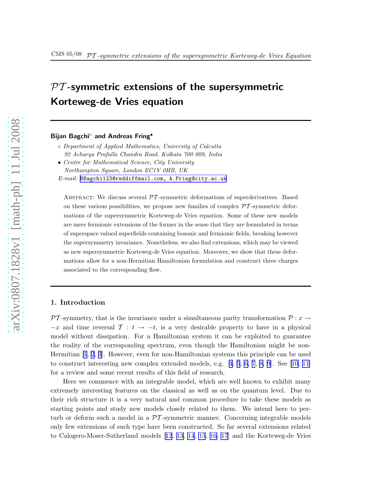### $PT$ -symmetric extensions of the supersymmetric Korteweg-de Vries equation

#### Bijan Bagchi<sup>○</sup> and Andreas Fring<sup>•</sup>

- Department of Applied Mathematics, University of Calcutta 92 Acharya Prafulla Chandra Road, Kolkata 700 009, India
- Centre for Mathematical Science, City University Northampton Square, London EC1V 0HB, UK

E-mail: [BBagchi123@reddiffmail.com, A.Fring@city.ac.uk](mailto:BBagchi123@reddiffmail.com, A.Fring@city.ac.uk)

ABSTRACT: We discuss several  $\mathcal{PT}$ -symmetric deformations of superderivatives. Based on these various possibilities, we propose new families of complex  $\mathcal{P}\mathcal{T}$ -symmetric deformations of the supersymmetric Korteweg-de Vries equation. Some of these new models are mere fermionic extensions of the former in the sense that they are formulated in terms of superspace valued superfields containing bosonic and fermionic fields, breaking however the supersymmetry invariance. Nonetheless, we also find extensions, which may be viewed as new supersymmetric Korteweg-de Vries equation. Moreover, we show that these deformations allow for a non-Hermitian Hamiltonian formulation and construct three charges associated to the corresponding flow.

#### 1. Introduction

PT-symmetry, that is the invariance under a simultaneous parity transformation  $P: x \rightarrow$  $-x$  and time reversal  $\mathcal{T}: t \to -t$ , is a very desirable property to have in a physical model without dissipation. For a Hamiltonian system it can be exploited to guarantee the reality of the corresponding spectrum, even though the Hamiltonian might be non-Hermitian [\[1](#page-9-0), [2](#page-9-0), [3](#page-9-0)]. However, even for non-Hamiltonian systems this principle can be used to construct interesting new complex extended models, e.g. [[4, 5](#page-9-0), [6, 7](#page-9-0), [8, 9](#page-9-0)]. See [\[10, 11\]](#page-9-0) for a review and some recent results of this field of research.

Here we commence with an integrable model, which are well known to exhibit many extremely interesting features on the classical as well as on the quantum level. Due to their rich structure it is a very natural and common procedure to take these models as starting points and study new models closely related to them. We intend here to perturb or deform such a model in a  $\mathcal{PT}$ -symmetric manner. Concerning integrable models only few extensions of such type have been constructed. So far several extensions related to Calogero-Moser-Sutherland models[[12](#page-9-0), [13,](#page-9-0) [14](#page-10-0), [15](#page-10-0), [16, 17](#page-10-0)] and the Korteweg-de Vries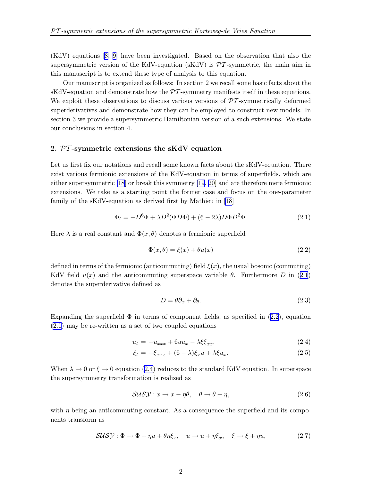<span id="page-2-0"></span>(KdV) equations [\[8, 9](#page-9-0)] have been investigated. Based on the observation that also the supersymmetric version of the KdV-equation (sKdV) is  $\mathcal{PT}$ -symmetric, the main aim in this manuscript is to extend these type of analysis to this equation.

Our manuscript is organized as follows: In section 2 we recall some basic facts about the sKdV-equation and demonstrate how the  $\mathcal{PT}$ -symmetry manifests itself in these equations. We exploit these observations to discuss various versions of  $\mathcal{P}\mathcal{T}$ -symmetrically deformed superderivatives and demonstrate how they can be employed to construct new models. In section 3 we provide a supersymmetric Hamiltonian version of a such extensions. We state our conclusions in section 4.

#### 2. PT -symmetric extensions the sKdV equation

Let us first fix our notations and recall some known facts about the sKdV-equation. There exist various fermionic extensions of the KdV-equation in terms of superfields, which are either supersymmetric [\[18](#page-10-0)] or break this symmetry [\[19](#page-10-0), [20\]](#page-10-0) and are therefore mere fermionic extensions. We take as a starting point the former case and focus on the one-parameter family of the sKdV-equation as derived first by Mathieu in [\[18](#page-10-0)]

$$
\Phi_t = -D^6 \Phi + \lambda D^2 (\Phi D \Phi) + (6 - 2\lambda) D \Phi D^2 \Phi.
$$
\n(2.1)

Here  $\lambda$  is a real constant and  $\Phi(x, \theta)$  denotes a fermionic superfield

$$
\Phi(x,\theta) = \xi(x) + \theta u(x) \tag{2.2}
$$

defined in terms of the fermionic (anticommuting) field  $\xi(x)$ , the usual bosonic (commuting) KdV field  $u(x)$  and the anticommuting superspace variable  $\theta$ . Furthermore D in (2.1) denotes the superderivative defined as

$$
D = \theta \partial_x + \partial_\theta. \tag{2.3}
$$

Expanding the superfield  $\Phi$  in terms of component fields, as specified in (2.2), equation (2.1) may be re-written as a set of two coupled equations

$$
u_t = -u_{xxx} + 6uu_x - \lambda \xi \xi_{xx}, \qquad (2.4)
$$

$$
\xi_t = -\xi_{xxx} + (6 - \lambda)\xi_x u + \lambda \xi u_x. \tag{2.5}
$$

When  $\lambda \to 0$  or  $\xi \to 0$  equation (2.4) reduces to the standard KdV equation. In superspace the supersymmetry transformation is realized as

$$
SUSY: x \to x - \eta \theta, \quad \theta \to \theta + \eta,
$$
\n(2.6)

with  $\eta$  being an anticommuting constant. As a consequence the superfield and its components transform as

$$
SUSY: \Phi \to \Phi + \eta u + \theta \eta \xi_x, \quad u \to u + \eta \xi_x, \quad \xi \to \xi + \eta u,
$$
\n
$$
(2.7)
$$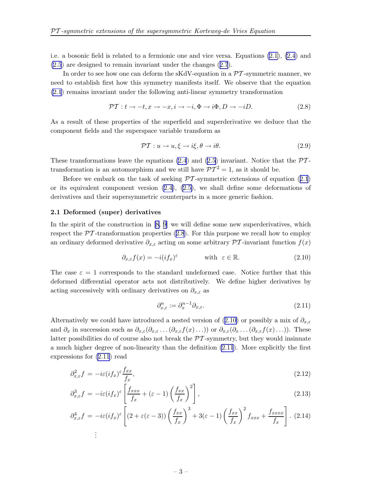<span id="page-3-0"></span>i.e. a bosonic field is related to a fermionic one and vice versa. Equations [\(2.1](#page-2-0)), [\(2.4](#page-2-0)) and [\(2.5](#page-2-0)) are designed to remain invariant under the changes ([2.7](#page-2-0)).

In order to see how one can deform the sKdV-equation in a  $\mathcal{PT}$ -symmetric manner, we need to establish first how this symmetry manifests itself. We observe that the equation [\(2.1](#page-2-0)) remains invariant under the following anti-linear symmetry transformation

$$
\mathcal{PT}: t \to -t, x \to -x, i \to -i, \Phi \to i\Phi, D \to -iD. \tag{2.8}
$$

As a result of these properties of the superfield and superderivative we deduce that the component fields and the superspace variable transform as

$$
\mathcal{PT}: u \to u, \xi \to i\xi, \theta \to i\theta. \tag{2.9}
$$

These transformations leave the equations [\(2.4](#page-2-0)) and [\(2.5\)](#page-2-0) invariant. Notice that the  $\mathcal{P}\mathcal{T}$ transformation is an automorphism and we still have  $\mathcal{PT}^2 = 1$ , as it should be.

Before we embark on the task of seeking  $\mathcal{P}\mathcal{T}$ -symmetric extensions of equation ([2.1](#page-2-0)) or its equivalent component version  $(2.4)$  $(2.4)$ ,  $(2.5)$  $(2.5)$ , we shall define some deformations of derivatives and their supersymmetric counterparts in a more generic fashion.

#### 2.1 Deformed (super) derivatives

In the spirit of the construction in [\[8, 9](#page-9-0)] we will define some new superderivatives, which respect the  $\mathcal{P}\mathcal{T}$ -transformation properties (2.8). For this purpose we recall how to employ an ordinary deformed derivative  $\partial_{x,\varepsilon}$  acting on some arbitrary  $\mathcal{PT}$ -invariant function  $f(x)$ 

$$
\partial_{x,\varepsilon} f(x) = -i(if_x)^{\varepsilon} \qquad \text{with } \varepsilon \in \mathbb{R}.
$$
 (2.10)

The case  $\varepsilon = 1$  corresponds to the standard undeformed case. Notice further that this deformed differential operator acts not distributively. We define higher derivatives by acting successively with ordinary derivatives on  $\partial_{x,\varepsilon}$  as

$$
\partial_{x,\varepsilon}^n := \partial_x^{n-1} \partial_{x,\varepsilon}.\tag{2.11}
$$

Alternatively we could have introduced a nested version of (2.10) or possibly a mix of  $\partial_{x,\varepsilon}$ and  $\partial_x$  in succession such as  $\partial_{x,\varepsilon}(\partial_{x,\varepsilon} \ldots (\partial_{x,\varepsilon}f(x) \ldots))$  or  $\partial_{x,\varepsilon}(\partial_x \ldots (\partial_{x,\varepsilon}f(x) \ldots))$ . These latter possibilities do of course also not break the  $\mathcal{PT}$ -symmetry, but they would insinuate a much higher degree of non-linearity than the definition (2.11). More explicitly the first expressions for (2.11) read

$$
\partial_{x,\varepsilon}^2 f = -i\varepsilon (i f_x)^{\varepsilon} \frac{f_{xx}}{f_x},\tag{2.12}
$$

$$
\partial_{x,\varepsilon}^3 f = -i\varepsilon (if_x)^{\varepsilon} \left[ \frac{f_{xxx}}{f_x} + (\varepsilon - 1) \left( \frac{f_{xx}}{f_x} \right)^2 \right],\tag{2.13}
$$

$$
\partial_{x,\varepsilon}^4 f = -i\varepsilon (i f_x)^{\varepsilon} \left[ (2 + \varepsilon (\varepsilon - 3)) \left( \frac{f_{xx}}{f_x} \right)^3 + 3(\varepsilon - 1) \left( \frac{f_{xx}}{f_x} \right)^2 f_{xxx} + \frac{f_{xxxx}}{f_x} \right].
$$
 (2.14)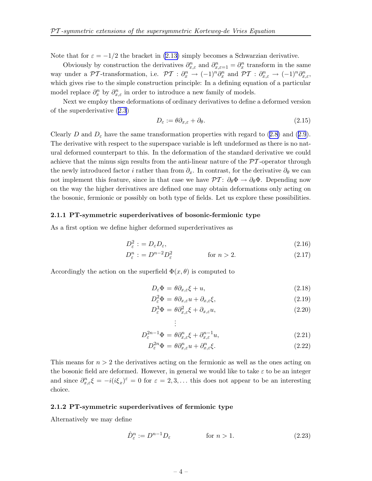Note that for  $\varepsilon = -1/2$  the bracket in [\(2.13\)](#page-3-0) simply becomes a Schwarzian derivative.

Obviously by construction the derivatives  $\partial_{x,\varepsilon}^n$  and  $\partial_{x,\varepsilon=1}^n = \partial_x^n$  transform in the same way under a  $\mathcal{PT}\text{-transformation}$ , i.e.  $\mathcal{PT}: \partial_x^n \to (-1)^n \partial_x^n$  and  $\mathcal{PT}: \partial_{x,\varepsilon}^n \to (-1)^n \partial_{x,\varepsilon}^n$ which gives rise to the simple construction principle: In a defining equation of a particular model replace  $\partial_x^n$  by  $\partial_{x,\varepsilon}^n$  in order to introduce a new family of models.

Next we employ these deformations of ordinary derivatives to define a deformed version of the superderivative ([2.3](#page-2-0))

$$
D_{\varepsilon} := \theta \partial_{x,\varepsilon} + \partial_{\theta}.
$$
\n(2.15)

Clearly D and  $D_{\varepsilon}$  have the same transformation properties with regard to ([2.8\)](#page-3-0) and ([2.9](#page-3-0)). The derivative with respect to the superspace variable is left undeformed as there is no natural deformed counterpart to this. In the deformation of the standard derivative we could achieve that the minus sign results from the anti-linear nature of the  $\mathcal{P}\mathcal{T}$ -operator through the newly introduced factor *i* rather than from  $\partial_x$ . In contrast, for the derivative  $\partial_\theta$  we can not implement this feature, since in that case we have  $\mathcal{PT}$ :  $\partial_{\theta} \Phi \to \partial_{\theta} \Phi$ . Depending now on the way the higher derivatives are defined one may obtain deformations only acting on the bosonic, fermionic or possibly on both type of fields. Let us explore these possibilities.

#### 2.1.1 PT-symmetric superderivatives of bosonic-fermionic type

As a first option we define higher deformed superderivatives as

$$
D_{\varepsilon}^2 := D_{\varepsilon} D_{\varepsilon},\tag{2.16}
$$

$$
D_{\varepsilon}^{n} := D^{n-2} D_{\varepsilon}^{2} \qquad \text{for } n > 2.
$$
 (2.17)

Accordingly the action on the superfield  $\Phi(x, \theta)$  is computed to

$$
D_{\varepsilon} \Phi = \theta \partial_{x,\varepsilon} \xi + u,\tag{2.18}
$$

$$
D_{\varepsilon}^{2} \Phi = \theta \partial_{x, \varepsilon} u + \partial_{x, \varepsilon} \xi,
$$
\n(2.19)

$$
D_{\varepsilon}^{3} \Phi = \theta \partial_{x,\varepsilon}^{2} \xi + \partial_{x,\varepsilon} u,\tag{2.20}
$$

$$
\vdots
$$
\n
$$
D_{\varepsilon}^{2n-1}\Phi = \theta \partial_{x,\varepsilon}^n \xi + \partial_{x,\varepsilon}^{n-1} u,
$$
\n(2.21)

$$
D_{\varepsilon}^{2n}\Phi = \theta \partial_{x,\varepsilon}^n u + \partial_{x,\varepsilon}^n \xi.
$$
\n(2.22)

This means for  $n > 2$  the derivatives acting on the fermionic as well as the ones acting on the bosonic field are deformed. However, in general we would like to take  $\varepsilon$  to be an integer and since  $\partial_{x,\varepsilon}^n \xi = -i(i\xi_x)^{\varepsilon} = 0$  for  $\varepsilon = 2,3,...$  this does not appear to be an interesting choice.

. .

#### 2.1.2 PT-symmetric superderivatives of fermionic type

Alternatively we may define

$$
\hat{D}_{\varepsilon}^{n} := D^{n-1} D_{\varepsilon} \qquad \text{for } n > 1.
$$
\n(2.23)

$$
-4-
$$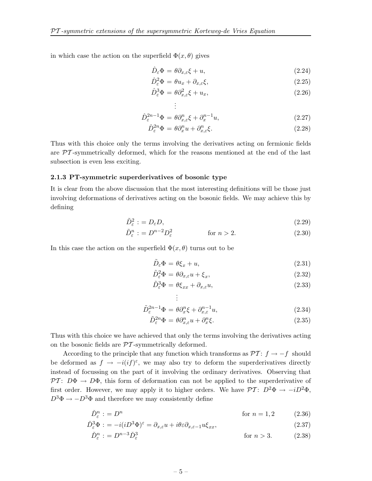<span id="page-5-0"></span>in which case the action on the superfield  $\Phi(x, \theta)$  gives

$$
\hat{D}_{\varepsilon} \Phi = \theta \partial_{x,\varepsilon} \xi + u,\tag{2.24}
$$

$$
\hat{D}_{\varepsilon}^2 \Phi = \theta u_x + \partial_{x,\varepsilon} \xi, \tag{2.25}
$$

$$
\hat{D}_{\varepsilon}^3 \Phi = \theta \partial_{x,\varepsilon}^2 \xi + u_x, \tag{2.26}
$$

$$
\vdots
$$
  

$$
\hat{D}_{\varepsilon}^{2n-1}\Phi = \theta \partial_{x,\varepsilon}^{n}\xi + \partial_{x}^{n-1}u,
$$
\n(2.27)

$$
\hat{D}_{\varepsilon}^{2n}\Phi = \theta \partial_x^n u + \partial_{x,\varepsilon}^n \xi.
$$
\n(2.28)

Thus with this choice only the terms involving the derivatives acting on fermionic fields are  $\mathcal{PT}$ -symmetrically deformed, which for the reasons mentioned at the end of the last subsection is even less exciting.

#### 2.1.3 PT-symmetric superderivatives of bosonic type

It is clear from the above discussion that the most interesting definitions will be those just involving deformations of derivatives acting on the bosonic fields. We may achieve this by defining

$$
\tilde{D}_{\varepsilon}^2 := D_{\varepsilon} D,\tag{2.29}
$$

$$
\tilde{D}_{\varepsilon}^{n} : = D^{n-2} D_{\varepsilon}^{2} \qquad \text{for } n > 2.
$$
\n(2.30)

In this case the action on the superfield  $\Phi(x, \theta)$  turns out to be

$$
\tilde{D}_{\varepsilon} \Phi = \theta \xi_x + u,\tag{2.31}
$$

$$
\tilde{D}_{\varepsilon}^2 \Phi = \theta \partial_{x,\varepsilon} u + \xi_x, \tag{2.32}
$$

$$
\tilde{D}_{\varepsilon}^{3} \Phi = \theta \xi_{xx} + \partial_{x,\varepsilon} u,
$$
\n
$$
\vdots
$$
\n(2.33)

$$
\tilde{D}_{\varepsilon}^{2n-1}\Phi = \theta \partial_x^n \xi + \partial_{x,\varepsilon}^{n-1} u,\tag{2.34}
$$

$$
\tilde{D}_{\varepsilon}^{2n}\Phi = \theta \partial_{x,\varepsilon}^n u + \partial_x^n \xi.
$$
\n(2.35)

Thus with this choice we have achieved that only the terms involving the derivatives acting on the bosonic fields are  $\mathcal{PT}$ -symmetrically deformed.

According to the principle that any function which transforms as  $\mathcal{PT}$ :  $f \rightarrow -f$  should be deformed as  $f \to -i(if)^{\varepsilon}$ , we may also try to deform the superderivatives directly instead of focussing on the part of it involving the ordinary derivatives. Observing that  $\mathcal{PT}$ :  $D\Phi \rightarrow D\Phi$ , this form of deformation can not be applied to the superderivative of first order. However, we may apply it to higher orders. We have  $\mathcal{PT}$ :  $D^2\Phi \rightarrow -iD^2\Phi$ ,  $D^3\Phi \to -D^3\Phi$  and therefore we may consistently define

$$
\check{D}^n_{\varepsilon} := D^n \qquad \qquad \text{for } n = 1, 2 \qquad (2.36)
$$

$$
\tilde{D}_{\varepsilon}^{3}\Phi := -i(iD^{3}\Phi)^{\varepsilon} = \partial_{x,\varepsilon}u + i\theta\varepsilon\partial_{x,\varepsilon-1}u\xi_{xx},\tag{2.37}
$$

$$
\check{D}_{\varepsilon}^{n} := D^{n-3} \check{D}_{\varepsilon}^{3} \qquad \qquad \text{for } n > 3. \tag{2.38}
$$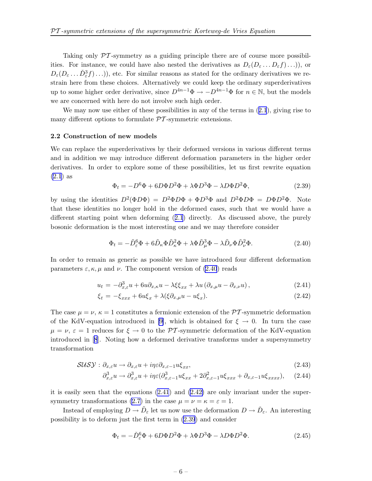<span id="page-6-0"></span>Taking only PT -symmetry as a guiding principle there are of course more possibilities. For instance, we could have also nested the derivatives as  $D_{\varepsilon}(D_{\varepsilon} \dots D_{\varepsilon} f) \dots$ , or  $D_{\varepsilon}(D_{\varepsilon}\ldots\check{D}_{\varepsilon}^{3}f)\ldots)$ , etc. For similar reasons as stated for the ordinary derivatives we restrain here from these choices. Alternatively we could keep the ordinary superderivatives up to some higher order derivative, since  $D^{4n-1}\Phi \to -D^{4n-1}\Phi$  for  $n \in \mathbb{N}$ , but the models we are concerned with here do not involve such high order.

We may now use either of these possibilities in any of the terms in  $(2.1)$  $(2.1)$  $(2.1)$ , giving rise to many different options to formulate  $\mathcal{P}\mathcal{T}$ -symmetric extensions.

#### 2.2 Construction of new models

We can replace the superderivatives by their deformed versions in various different terms and in addition we may introduce different deformation parameters in the higher order derivatives. In order to explore some of these possibilities, let us first rewrite equation [\(2.1](#page-2-0)) as

$$
\Phi_t = -D^6 \Phi + 6D \Phi D^2 \Phi + \lambda \Phi D^3 \Phi - \lambda D \Phi D^2 \Phi, \qquad (2.39)
$$

by using the identities  $D^2(\Phi D\Phi) = D^2\Phi D\Phi + \Phi D^3\Phi$  and  $D^2\Phi D\Phi = D\Phi D^2\Phi$ . Note that these identities no longer hold in the deformed cases, such that we would have a different starting point when deforming ([2.1](#page-2-0)) directly. As discussed above, the purely bosonic deformation is the most interesting one and we may therefore consider

$$
\Phi_t = -\tilde{D}_{\varepsilon}^6 \Phi + 6\tilde{D}_{\kappa} \Phi \tilde{D}_{\kappa}^2 \Phi + \lambda \Phi \tilde{D}_{\mu}^3 \Phi - \lambda \tilde{D}_{\nu} \Phi \tilde{D}_{\nu}^2 \Phi.
$$
\n(2.40)

In order to remain as generic as possible we have introduced four different deformation parameters  $\varepsilon$ ,  $\kappa$ ,  $\mu$  and  $\nu$ . The component version of (2.40) reads

$$
u_t = -\partial_{x,\varepsilon}^3 u + 6u \partial_{x,\kappa} u - \lambda \xi \xi_{xx} + \lambda u \left( \partial_{x,\mu} u - \partial_{x,\nu} u \right), \tag{2.41}
$$

$$
\xi_t = -\xi_{xxx} + 6u\xi_x + \lambda(\xi\partial_{x,\mu}u - u\xi_x). \tag{2.42}
$$

The case  $\mu = \nu$ ,  $\kappa = 1$  constitutes a fermionic extension of the PT-symmetric deformation of the KdV-equation introduced in [\[9\]](#page-9-0), which is obtained for  $\xi \to 0$ . In turn the case  $\mu = \nu, \varepsilon = 1$  reduces for  $\xi \to 0$  to the PT-symmetric deformation of the KdV-equation introduced in [\[8](#page-9-0)]. Noting how a deformed derivative transforms under a supersymmetry transformation

$$
SUSY: \partial_{x,\varepsilon} u \to \partial_{x,\varepsilon} u + i\eta \varepsilon \partial_{x,\varepsilon-1} u \xi_{xx}, \tag{2.43}
$$

$$
\partial_{x,\varepsilon}^3 u \to \partial_{x,\varepsilon}^3 u + i\eta \varepsilon (\partial_{x,\varepsilon-1}^3 u \xi_{xx} + 2\partial_{x,\varepsilon-1}^2 u \xi_{xxx} + \partial_{x,\varepsilon-1} u \xi_{xxxx}), \quad (2.44)
$$

it is easily seen that the equations (2.41) and (2.42) are only invariant under the super-symmetry transformations [\(2.7](#page-2-0)) in the case  $\mu = \nu = \kappa = \epsilon = 1$ .

Instead of employing  $D \to \tilde{D}_{\varepsilon}$  let us now use the deformation  $D \to \check{D}_{\varepsilon}$ . An interesting possibility is to deform just the first term in (2.39) and consider

$$
\Phi_t = -\check{D}_\varepsilon^6 \Phi + 6D\Phi D^2 \Phi + \lambda \Phi D^3 \Phi - \lambda D\Phi D^2 \Phi. \tag{2.45}
$$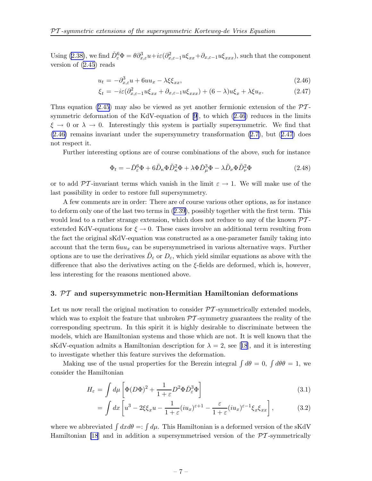<span id="page-7-0"></span>Using [\(2.38\)](#page-5-0), we find  $\check{D}_{\varepsilon}^6 \Phi = \theta \partial_{x,\varepsilon}^3 u + i\varepsilon (\partial_{x,\varepsilon-1}^2 u \xi_{xx} + \partial_{x,\varepsilon-1} u \xi_{xxx})$ , such that the component version of [\(2.45](#page-6-0)) reads

$$
u_t = -\partial_{x,\varepsilon}^3 u + 6uu_x - \lambda\xi\xi_{xx},\tag{2.46}
$$

$$
\xi_t = -i\varepsilon (\partial_{x,\varepsilon-1}^2 u \xi_{xx} + \partial_{x,\varepsilon-1} u \xi_{xxx}) + (6-\lambda)u \xi_x + \lambda \xi u_x.
$$
 (2.47)

Thus equation [\(2.45](#page-6-0)) may also be viewed as yet another fermionic extension of the  $\mathcal{P}\mathcal{T}$ symmetric deformation of the KdV-equation of[[9](#page-9-0)], to which (2.46) reduces in the limits  $\xi \to 0$  or  $\lambda \to 0$ . Interestingly this system is partially supersymmetric. We find that (2.46) remains invariant under the supersymmetry transformation [\(2.7\)](#page-2-0), but (2.47) does not respect it.

Further interesting options are of course combinations of the above, such for instance

$$
\Phi_t = -\check{D}_{\varepsilon}^6 \Phi + 6\tilde{D}_{\kappa} \Phi \tilde{D}_{\kappa}^2 \Phi + \lambda \Phi \check{D}_{\mu}^3 \Phi - \lambda \tilde{D}_{\nu} \Phi \tilde{D}_{\nu}^2 \Phi \tag{2.48}
$$

or to add  $\mathcal{PT}$ -invariant terms which vanish in the limit  $\varepsilon \to 1$ . We will make use of the last possibility in order to restore full supersymmetry.

A few comments are in order: There are of course various other options, as for instance to deform only one of the last two terms in ([2.39](#page-6-0)), possibly together with the first term. This would lead to a rather strange extension, which does not reduce to any of the known  $\mathcal{P}\mathcal{T}$ extended KdV-equations for  $\xi \to 0$ . These cases involve an additional term resulting from the fact the original sKdV-equation was constructed as a one-parameter family taking into account that the term  $6uu_x$  can be supersymmetrised in various alternative ways. Further options are to use the derivatives  $\hat{D}_{\varepsilon}$  or  $D_{\varepsilon}$ , which yield similar equations as above with the difference that also the derivatives acting on the  $\xi$ -fields are deformed, which is, however, less interesting for the reasons mentioned above.

#### 3.  $PT$  and supersymmetric non-Hermitian Hamiltonian deformations

Let us now recall the original motivation to consider  $\mathcal{PT}$ -symmetrically extended models, which was to exploit the feature that unbroken  $\mathcal{PT}$ -symmetry guarantees the reality of the corresponding spectrum. In this spirit it is highly desirable to discriminate between the models, which are Hamiltonian systems and those which are not. It is well known that the sKdV-equationadmits a Hamiltonian description for  $\lambda = 2$ , see [[18](#page-10-0)], and it is interesting to investigate whether this feature survives the deformation.

Making use of the usual properties for the Berezin integral  $\int d\theta = 0$ ,  $\int d\theta \theta = 1$ , we consider the Hamiltonian

$$
H_{\varepsilon} = \int d\mu \left[ \Phi (D\Phi)^2 + \frac{1}{1+\varepsilon} D^2 \Phi \check{D}_{\varepsilon}^3 \Phi \right]
$$
 (3.1)

$$
= \int dx \left[ u^3 - 2\xi \xi_x u - \frac{1}{1+\varepsilon} (iu_x)^{\varepsilon+1} - \frac{\varepsilon}{1+\varepsilon} (iu_x)^{\varepsilon-1} \xi_x \xi_{xx} \right],
$$
 (3.2)

where we abbreviated  $\int dx d\theta =: \int d\mu$ . This Hamiltonian is a deformed version of the sKdV Hamiltonian [\[18](#page-10-0)] and in addition a supersymmetrised version of the  $\mathcal{PT}$ -symmetrically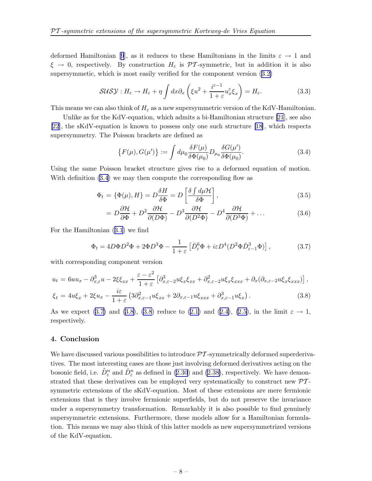deformedHamiltonian [[9](#page-9-0)], as it reduces to these Hamiltonians in the limits  $\varepsilon \to 1$  and  $\xi \to 0$ , respectively. By construction  $H_{\varepsilon}$  is PT-symmetric, but in addition it is also supersymmetic, which is most easily verified for the component version ([3.2\)](#page-7-0)

$$
SUSY: H_{\varepsilon} \to H_{\varepsilon} + \eta \int dx \partial_x \left( \xi u^2 + \frac{i^{\varepsilon - 1}}{1 + \varepsilon} u_x^{\varepsilon} \xi_x \right) = H_{\varepsilon}.
$$
 (3.3)

This means we can also think of  $H_{\varepsilon}$  as a new supersymmetric version of the KdV-Hamiltonian.

Unlike as for the KdV-equation, which admits a bi-Hamiltonian structure [\[21](#page-10-0)], see also [\[22](#page-10-0)], the sKdV-equation is known to possess only one such structure[[18\]](#page-10-0), which respects supersymmetry. The Poisson brackets are defined as

$$
\{F(\mu), G(\mu')\} := \int d\mu_0 \frac{\delta F(\mu)}{\delta \Phi(\mu_0)} D_{\mu_0} \frac{\delta G(\mu')}{\delta \Phi(\mu_0)}.
$$
\n(3.4)

Using the same Poisson bracket structure gives rise to a deformed equation of motion. With definition  $(3.4)$  we may then compute the corresponding flow as

$$
\Phi_t = \{\Phi(\mu), H\} = D \frac{\delta H}{\delta \Phi} = D \left[ \frac{\delta \int d\mu \mathcal{H}}{\delta \Phi} \right],
$$
\n(3.5)

$$
= D\frac{\partial \mathcal{H}}{\partial \Phi} + D^2 \frac{\partial \mathcal{H}}{\partial (D\Phi)} - D^3 \frac{\partial \mathcal{H}}{\partial (D^2 \Phi)} - D^4 \frac{\partial \mathcal{H}}{\partial (D^3 \Phi)} + \dots
$$
 (3.6)

For the Hamiltonian ([3.1](#page-7-0)) we find

$$
\Phi_t = 4D\Phi D^2 \Phi + 2\Phi D^3 \Phi - \frac{1}{1+\varepsilon} \left[ \check{D}_{\varepsilon}^6 \Phi + i\varepsilon D^4 (D^2 \Phi \check{D}_{\varepsilon-1}^3 \Phi) \right],\tag{3.7}
$$

with corresponding component version

$$
u_t = 6uu_x - \partial_{x,\varepsilon}^3 u - 2\xi \xi_{xx} + \frac{\varepsilon - \varepsilon^2}{1 + \varepsilon} \left[ \partial_{x,\varepsilon-2}^3 u \xi_x \xi_{xx} + \partial_{x,\varepsilon-2}^2 u \xi_x \xi_{xxx} + \partial_x (\partial_{x,\varepsilon-2} u \xi_x \xi_{xxx}) \right],
$$
  

$$
\xi_t = 4u\xi_x + 2\xi u_x - \frac{i\varepsilon}{1 + \varepsilon} \left( 3\partial_{x,\varepsilon-1}^2 u \xi_{xx} + 2\partial_{x,\varepsilon-1} u \xi_{xxx} + \partial_{x,\varepsilon-1}^3 u \xi_x \right).
$$
 (3.8)

As we expect (3.7) and (3.8), (3.8) reduce to ([2.1\)](#page-2-0) and ([2.4\)](#page-2-0), [\(2.5\)](#page-2-0), in the limit  $\varepsilon \to 1$ , respectively.

#### 4. Conclusion

We have discussed various possibilities to introduce  $\mathcal{PT}$ -symmetrically deformed superderivatives. The most interesting cases are those just involving deformed derivatives acting on the bosonic field, i.e.  $\tilde{D}^n_{\varepsilon}$  and  $\check{D}^n_{\varepsilon}$  as defined in ([2.30](#page-5-0)) and [\(2.38\)](#page-5-0), respectively. We have demonstrated that these derivatives can be employed very systematically to construct new  $\mathcal{PT}$ symmetric extensions of the sKdV-equation. Most of these extensions are mere fermionic extensions that is they involve fermionic superfields, but do not preserve the invariance under a supersymmetry transformation. Remarkably it is also possible to find genuinely supersymmetric extensions. Furthermore, these models allow for a Hamiltonian formulation. This means we may also think of this latter models as new supersymmetrized versions of the KdV-equation.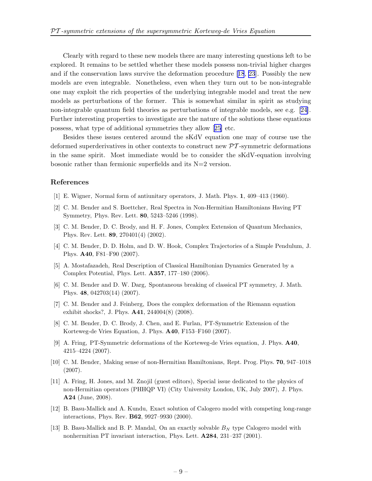<span id="page-9-0"></span>Clearly with regard to these new models there are many interesting questions left to be explored. It remains to be settled whether these models possess non-trivial higher charges and if the conservation laws survive the deformation procedure[[18](#page-10-0), [23](#page-10-0)]. Possibly the new models are even integrable. Nonetheless, even when they turn out to be non-integrable one may exploit the rich properties of the underlying integrable model and treat the new models as perturbations of the former. This is somewhat similar in spirit as studying non-integrable quantum field theories as perturbations of integrable models, see e.g.[[24\]](#page-10-0). Further interesting properties to investigate are the nature of the solutions these equations possess, what type of additional symmetries they allow[[25\]](#page-10-0) etc.

Besides these issues centered around the sKdV equation one may of course use the deformed superderivatives in other contexts to construct new  $\mathcal{PT}$ -symmetric deformations in the same spirit. Most immediate would be to consider the sKdV-equation involving bosonic rather than fermionic superfields and its N=2 version.

#### References

- [1] E. Wigner, Normal form of antiunitary operators, J. Math. Phys. 1, 409–413 (1960).
- [2] C. M. Bender and S. Boettcher, Real Spectra in Non-Hermitian Hamiltonians Having PT Symmetry, Phys. Rev. Lett. 80, 5243–5246 (1998).
- [3] C. M. Bender, D. C. Brody, and H. F. Jones, Complex Extension of Quantum Mechanics, Phys. Rev. Lett. 89, 270401(4) (2002).
- [4] C. M. Bender, D. D. Holm, and D. W. Hook, Complex Trajectories of a Simple Pendulum, J. Phys. A40, F81–F90 (2007).
- [5] A. Mostafazadeh, Real Description of Classical Hamiltonian Dynamics Generated by a Complex Potential, Phys. Lett. A357, 177–180 (2006).
- [6] C. M. Bender and D. W. Darg, Spontaneous breaking of classical PT symmetry, J. Math. Phys. 48, 042703(14) (2007).
- [7] C. M. Bender and J. Feinberg, Does the complex deformation of the Riemann equation exhibit shocks?, J. Phys. A41, 244004(8) (2008).
- [8] C. M. Bender, D. C. Brody, J. Chen, and E. Furlan, PT-Symmetric Extension of the Korteweg-de Vries Equation, J. Phys. A40, F153–F160 (2007).
- [9] A. Fring, PT-Symmetric deformations of the Korteweg-de Vries equation, J. Phys. A40, 4215–4224 (2007).
- [10] C. M. Bender, Making sense of non-Hermitian Hamiltonians, Rept. Prog. Phys. 70, 947–1018 (2007).
- [11] A. Fring, H. Jones, and M. Znojil (guest editors), Special issue dedicated to the physics of non-Hermitian operators (PHHQP VI) (City University London, UK, July 2007), J. Phys. A24 (June, 2008).
- [12] B. Basu-Mallick and A. Kundu, Exact solution of Calogero model with competing long-range interactions, Phys. Rev. B62, 9927–9930 (2000).
- [13] B. Basu-Mallick and B. P. Mandal, On an exactly solvable  $B<sub>N</sub>$  type Calogero model with nonhermitian PT invariant interaction, Phys. Lett. A284, 231–237 (2001).